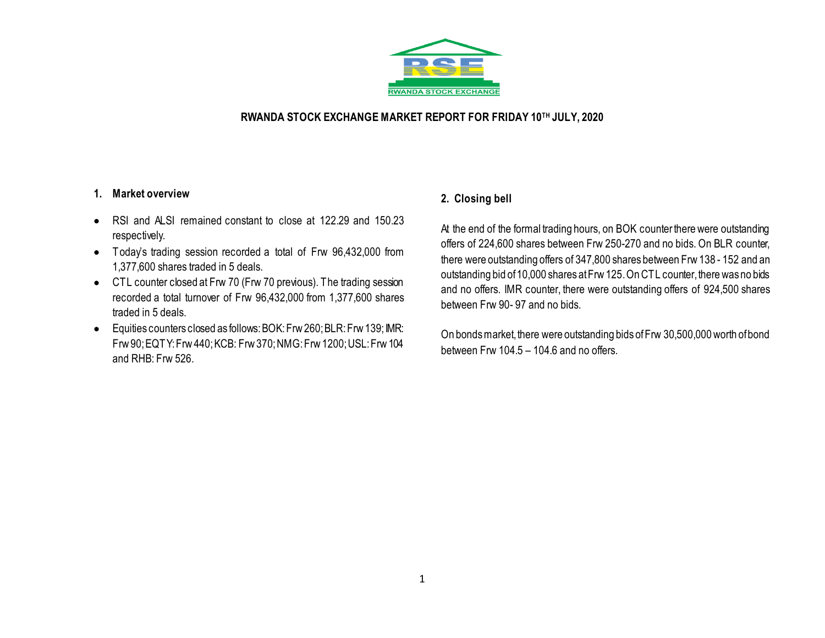

### **RWANDA STOCK EXCHANGE MARKET REPORT FOR FRIDAY 10TH JULY, 2020**

#### **1. Market overview**

- RSI and ALSI remained constant to close at 122.29 and 150.23 respectively.
- Today's trading session recorded a total of Frw 96,432,000 from 1,377,600 shares traded in 5 deals.
- CTL counter closed at Frw 70 (Frw 70 previous). The trading session recorded a total turnover of Frw 96,432,000 from 1,377,600 shares traded in 5 deals.
- Equities counters closed as follows: BOK: Frw 260; BLR: Frw 139; IMR: Frw 90; EQTY: Frw 440;KCB: Frw 370; NMG: Frw 1200; USL: Frw 104 and RHB: Frw 526.

## **2. Closing bell**

At the end of the formal trading hours, on BOK counter there were outstanding offers of 224,600 shares between Frw 250-270 and no bids. On BLR counter, there were outstanding offers of 347,800 shares between Frw 138 - 152 and an outstanding bid of 10,000 shares at Frw 125. On CTL counter, there was no bids and no offers. IMR counter, there were outstanding offers of 924,500 shares between Frw 90- 97 and no bids.

On bonds market, there were outstanding bids of Frw 30,500,000 worth of bond between Frw 104.5 – 104.6 and no offers.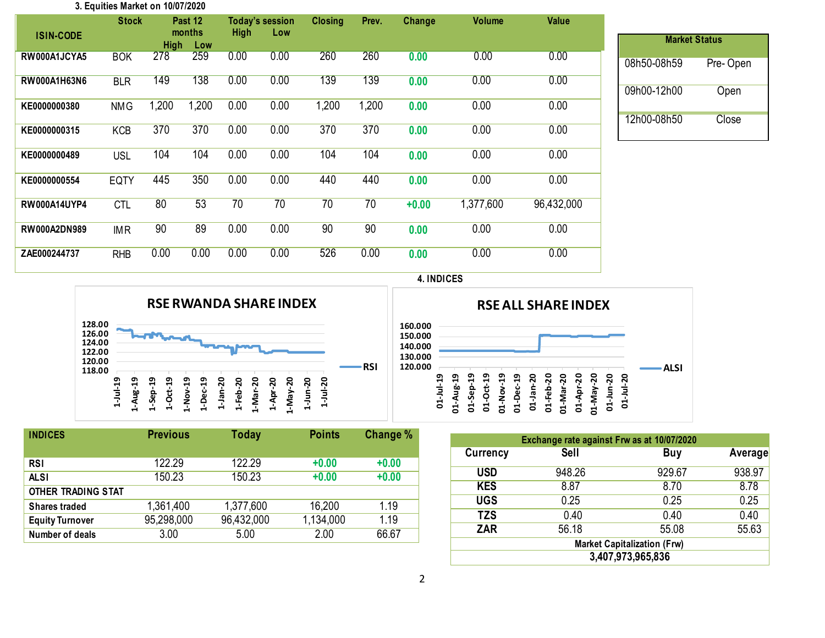#### **3. Equities Market on 10/07/2020**

|                     | <b>Stock</b> |                  | Past 12<br>months | High | <b>Today's session</b><br>Low | <b>Closing</b> | Prev. | Change  | <b>Volume</b> | Value      |             |          |                      |
|---------------------|--------------|------------------|-------------------|------|-------------------------------|----------------|-------|---------|---------------|------------|-------------|----------|----------------------|
|                     |              | <b>ISIN-CODE</b> | <b>High</b>       | Low  |                               |                |       |         |               |            |             |          | <b>Market Status</b> |
| RW000A1JCYA5        | <b>BOK</b>   | 278              | 259               | 0.00 | 0.00                          | 260            | 260   | 0.00    | 0.00          | 0.00       | 08h50-08h59 | Pre-Open |                      |
| <b>RW000A1H63N6</b> | <b>BLR</b>   | 149              | 138               | 0.00 | 0.00                          | 139            | 139   | 0.00    | 0.00          | 0.00       | 09h00-12h00 | Open     |                      |
| KE0000000380        | <b>NMG</b>   | 1,200            | 1,200             | 0.00 | 0.00                          | 1,200          | 1,200 | 0.00    | 0.00          | 0.00       |             |          |                      |
| KE0000000315        | <b>KCB</b>   | 370              | 370               | 0.00 | 0.00                          | 370            | 370   | 0.00    | 0.00          | 0.00       | 12h00-08h50 | Close    |                      |
| KE0000000489        | <b>USL</b>   | 104              | 104               | 0.00 | 0.00                          | 104            | 104   | 0.00    | 0.00          | 0.00       |             |          |                      |
| KE0000000554        | <b>EQTY</b>  | 445              | 350               | 0.00 | 0.00                          | 440            | 440   | 0.00    | 0.00          | 0.00       |             |          |                      |
| <b>RW000A14UYP4</b> | <b>CTL</b>   | 80               | 53                | 70   | 70                            | 70             | 70    | $+0.00$ | 1,377,600     | 96,432,000 |             |          |                      |
| <b>RW000A2DN989</b> | <b>IMR</b>   | 90               | 89                | 0.00 | 0.00                          | 90             | 90    | 0.00    | 0.00          | 0.00       |             |          |                      |
| ZAE000244737        | <b>RHB</b>   | 0.00             | 0.00              | 0.00 | 0.00                          | 526            | 0.00  | 0.00    | 0.00          | 0.00       |             |          |                      |
|                     |              |                  |                   |      |                               |                |       |         |               |            |             |          |                      |





| <b>INDICES</b>         | <b>Previous</b> | <b>Today</b> | <b>Points</b> | Change % |  |
|------------------------|-----------------|--------------|---------------|----------|--|
|                        |                 |              |               |          |  |
| <b>RSI</b>             | 122.29          | 122.29       | $+0.00$       | $+0.00$  |  |
| <b>ALSI</b>            | 150.23          | 150.23       | $+0.00$       | $+0.00$  |  |
| OTHER TRADING STAT     |                 |              |               |          |  |
| <b>Shares traded</b>   | 1,361,400       | 1,377,600    | 16,200        | 1.19     |  |
| <b>Equity Turnover</b> | 95,298,000      | 96,432,000   | 1,134,000     | 1.19     |  |
| Number of deals        | 3.00            | 5.00         | 2.00          | 66.67    |  |
|                        |                 |              |               |          |  |

| Exchange rate against Frw as at 10/07/2020 |             |        |         |  |  |  |  |  |  |
|--------------------------------------------|-------------|--------|---------|--|--|--|--|--|--|
| <b>Currency</b>                            | <b>Sell</b> | Buy    | Average |  |  |  |  |  |  |
| <b>USD</b>                                 | 948.26      | 929.67 | 938.97  |  |  |  |  |  |  |
| <b>KES</b>                                 | 8.87        | 8.70   | 8.78    |  |  |  |  |  |  |
| <b>UGS</b>                                 | 0.25        | 0.25   | 0.25    |  |  |  |  |  |  |
| <b>TZS</b>                                 | 0.40        | 0.40   | 0.40    |  |  |  |  |  |  |
| <b>ZAR</b>                                 | 56.18       | 55.08  | 55.63   |  |  |  |  |  |  |
| <b>Market Capitalization (Frw)</b>         |             |        |         |  |  |  |  |  |  |
| 3,407,973,965,836                          |             |        |         |  |  |  |  |  |  |

**01-May-20 01-Jun-20 01-Jul-20** **ALSI**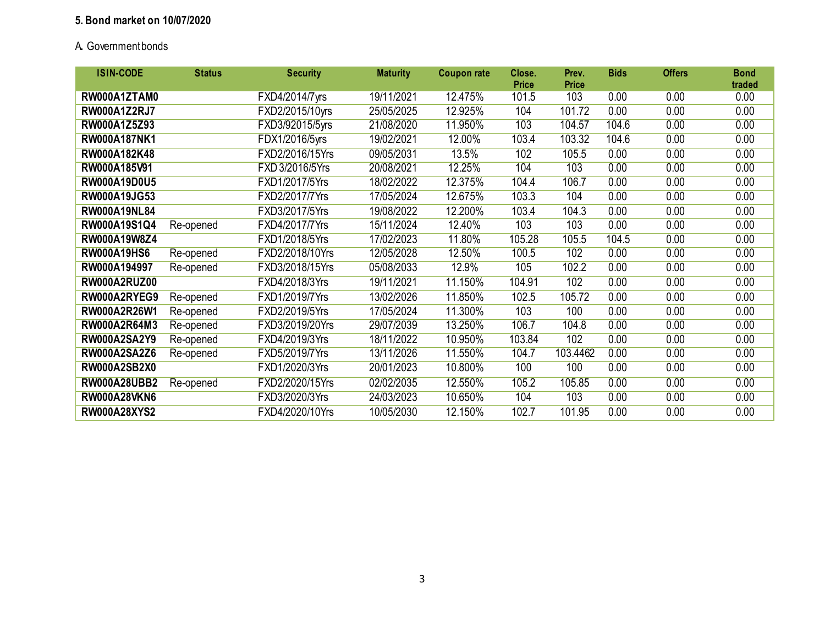## **5. Bond market on 10/07/2020**

# A**.** Government bonds

| <b>ISIN-CODE</b>    | <b>Status</b> | <b>Security</b> | <b>Maturity</b> | <b>Coupon rate</b> | Close.<br><b>Price</b> | Prev.<br><b>Price</b> | <b>Bids</b> | <b>Offers</b> | <b>Bond</b><br>traded |
|---------------------|---------------|-----------------|-----------------|--------------------|------------------------|-----------------------|-------------|---------------|-----------------------|
| RW000A1ZTAM0        |               | FXD4/2014/7yrs  | 19/11/2021      | 12.475%            | 101.5                  | 103                   | 0.00        | 0.00          | 0.00                  |
| <b>RW000A1Z2RJ7</b> |               | FXD2/2015/10yrs | 25/05/2025      | 12.925%            | 104                    | 101.72                | 0.00        | 0.00          | 0.00                  |
| RW000A1Z5Z93        |               | FXD3/92015/5yrs | 21/08/2020      | 11.950%            | 103                    | 104.57                | 104.6       | 0.00          | 0.00                  |
| RW000A187NK1        |               | FDX1/2016/5yrs  | 19/02/2021      | 12.00%             | 103.4                  | 103.32                | 104.6       | 0.00          | 0.00                  |
| RW000A182K48        |               | FXD2/2016/15Yrs | 09/05/2031      | 13.5%              | 102                    | 105.5                 | 0.00        | 0.00          | 0.00                  |
| RW000A185V91        |               | FXD 3/2016/5Yrs | 20/08/2021      | 12.25%             | 104                    | 103                   | 0.00        | 0.00          | 0.00                  |
| RW000A19D0U5        |               | FXD1/2017/5Yrs  | 18/02/2022      | 12.375%            | 104.4                  | 106.7                 | 0.00        | 0.00          | 0.00                  |
| RW000A19JG53        |               | FXD2/2017/7Yrs  | 17/05/2024      | 12.675%            | 103.3                  | 104                   | 0.00        | 0.00          | 0.00                  |
| <b>RW000A19NL84</b> |               | FXD3/2017/5Yrs  | 19/08/2022      | 12.200%            | 103.4                  | 104.3                 | 0.00        | 0.00          | 0.00                  |
| RW000A19S1Q4        | Re-opened     | FXD4/2017/7Yrs  | 15/11/2024      | 12.40%             | 103                    | 103                   | 0.00        | 0.00          | 0.00                  |
| RW000A19W8Z4        |               | FXD1/2018/5Yrs  | 17/02/2023      | 11.80%             | 105.28                 | 105.5                 | 104.5       | 0.00          | 0.00                  |
| <b>RW000A19HS6</b>  | Re-opened     | FXD2/2018/10Yrs | 12/05/2028      | 12.50%             | 100.5                  | 102                   | 0.00        | 0.00          | 0.00                  |
| RW000A194997        | Re-opened     | FXD3/2018/15Yrs | 05/08/2033      | 12.9%              | 105                    | 102.2                 | 0.00        | 0.00          | 0.00                  |
| RW000A2RUZ00        |               | FXD4/2018/3Yrs  | 19/11/2021      | 11.150%            | 104.91                 | 102                   | 0.00        | 0.00          | 0.00                  |
| RW000A2RYEG9        | Re-opened     | FXD1/2019/7Yrs  | 13/02/2026      | 11.850%            | 102.5                  | 105.72                | 0.00        | 0.00          | 0.00                  |
| RW000A2R26W1        | Re-opened     | FXD2/2019/5Yrs  | 17/05/2024      | 11.300%            | 103                    | 100                   | 0.00        | 0.00          | 0.00                  |
| RW000A2R64M3        | Re-opened     | FXD3/2019/20Yrs | 29/07/2039      | 13.250%            | 106.7                  | 104.8                 | 0.00        | 0.00          | 0.00                  |
| RW000A2SA2Y9        | Re-opened     | FXD4/2019/3Yrs  | 18/11/2022      | 10.950%            | 103.84                 | 102                   | 0.00        | 0.00          | 0.00                  |
| <b>RW000A2SA2Z6</b> | Re-opened     | FXD5/2019/7Yrs  | 13/11/2026      | 11.550%            | 104.7                  | 103.4462              | 0.00        | 0.00          | 0.00                  |
| <b>RW000A2SB2X0</b> |               | FXD1/2020/3Yrs  | 20/01/2023      | 10.800%            | 100                    | 100                   | 0.00        | 0.00          | 0.00                  |
| <b>RW000A28UBB2</b> | Re-opened     | FXD2/2020/15Yrs | 02/02/2035      | 12.550%            | 105.2                  | 105.85                | 0.00        | 0.00          | 0.00                  |
| <b>RW000A28VKN6</b> |               | FXD3/2020/3Yrs  | 24/03/2023      | 10.650%            | 104                    | 103                   | 0.00        | 0.00          | 0.00                  |
| <b>RW000A28XYS2</b> |               | FXD4/2020/10Yrs | 10/05/2030      | 12.150%            | 102.7                  | 101.95                | 0.00        | 0.00          | 0.00                  |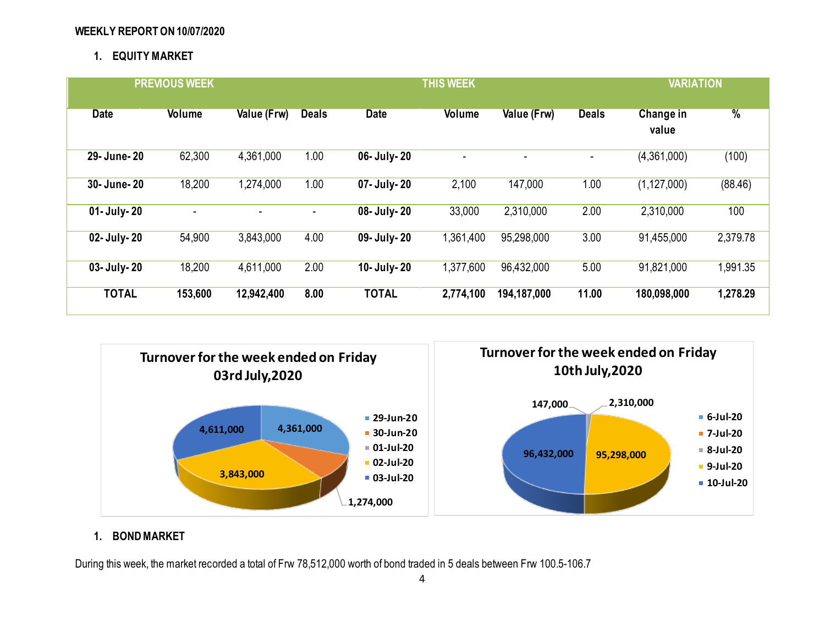### **WEEKLY REPORT ON 10/07/2020**

# **1. EQUITY MARKET**

| <b>PREVIOUS WEEK</b> |         |             |                | <b>THIS WEEK</b> |                |             |              | <b>VARIATION</b>   |               |
|----------------------|---------|-------------|----------------|------------------|----------------|-------------|--------------|--------------------|---------------|
| <b>Date</b>          | Volume  | Value (Frw) | <b>Deals</b>   | <b>Date</b>      | Volume         | Value (Frw) | <b>Deals</b> | Change in<br>value | $\frac{9}{6}$ |
| 29- June- 20         | 62,300  | 4,361,000   | 1.00           | 06- July-20      | $\blacksquare$ |             |              | (4,361,000)        | (100)         |
| 30- June- 20         | 18,200  | 1,274,000   | 1.00           | 07- July-20      | 2,100          | 147,000     | 1.00         | (1, 127, 000)      | (88.46)       |
| 01- July-20          |         | ٠           | $\blacksquare$ | 08- July-20      | 33,000         | 2,310,000   | 2.00         | 2,310,000          | 100           |
| 02- July-20          | 54,900  | 3,843,000   | 4.00           | 09- July- 20     | 1,361,400      | 95,298,000  | 3.00         | 91,455,000         | 2,379.78      |
| 03- July-20          | 18,200  | 4,611,000   | 2.00           | 10- July- 20     | 1,377,600      | 96,432,000  | 5.00         | 91,821,000         | 1,991.35      |
| <b>TOTAL</b>         | 153,600 | 12,942,400  | 8.00           | <b>TOTAL</b>     | 2,774,100      | 194,187,000 | 11.00        | 180,098,000        | 1,278.29      |



# **1. BOND MARKET**

During this week, the market recorded a total of Frw 78,512,000 worth of bond traded in 5 deals between Frw 100.5-106.7